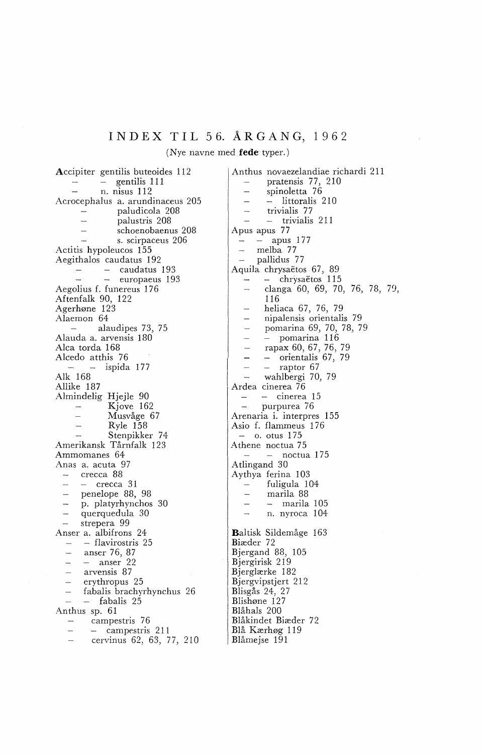## INDEX TIL 56. ÅRGANG, 1962

(Nye navne med **fede** typer.)

Accipiter gentilis buteoides 112 - gentilis 111  $\overline{\phantom{m}}$ n. nisus 112 Acrocephalus a. arundinaceus 205 paludicola 208 palustris 208 schoenobaenus 208  $\overline{a}$ s. scirpaceus 206 Actitis hypoleucos 155 Aegithalos caudatus 192 - caudatus 193  $\equiv$ - europaeus 193 Aegolius f. funereus 176 Aftenfalk 90, 122 Agerhøne 123 Alaemon 64 alaudipes 73, 75  $\mathcal{L}$ Alauda a. arvensis 180 Alca torda 168 Alcedo atthis 76 ispida 177 Alk 168 Allike 187 Almindelig Hjejle 90 Kjove 162  $\frac{1}{2}$ Musvåge 67  $\overline{a}$ Ryle 158  $\overline{a}$ Stenpikker 74 Amerikansk Tårnfalk 123 Ammomanes 64 Anas a. acuta 97 crecca 88 - crecca 31 j. penelope 88, 98  $\overline{a}$ p. platyrhynchos 30 querquedula 30  $\overline{\phantom{a}}$ strepera 99 Anser a. albifrons 24 - flavirostris 25  $\overline{\phantom{a}}$  $\overline{\phantom{a}}$ anser 76, 87 - anser 22 arvensis 87 erythropus 25 fabalis brachyrhynchus 26 - fabalis 25 Anthus sp. 61 campestris 76  $\overline{\phantom{a}}$ - campestris 211 cervinus 62, 63, 77, 210

Anthus novaezelandiae richardi 211 pratensis 77, 210 spinoletta 76 - littoralis 210 trivialis 77 - trivialis 211 Apus apus 77 - apus 177  $\overline{a}$ melba 77  $\overline{a}$ pallidus 77 Aquila chrysaëtos 67, 89 - chrysaëtos 115 clanga 60, 69, 70, 76, 78, 79, 116 heliaca 67, 76, 79 nipalensis orientalis 79 pomarina 69, 70, 78, 79 - pomarina 116 rapax 60, 67, 76, 79 - orientalis 67, 79 - raptor 67 wahlbergi 70, 79 Ardea cinerea 76 cinerea 15  $\sim$ purpurea 76 Arenaria i. interpres 155 Asio f. flammeus 176  $-$  o. otus 175 Athene noctua 75  $-$  noctua 175 Atlingand 30 Aythya ferina 103  $\sim$ fuligula 104 marila 88  $\sim$ marila 105 n. nyroca 104 Baltisk Sildemåge 163 Biæder 72 Bjergand 88, 105 Bjergirisk 219 Bjerglærke 182 Bjergvipstjert 212 Blisgås 24, 27 Blishøne 127 Blåhals 200 Blåkindet Biæder 7 2 Blå Kærhøg 119 Blåmejse 191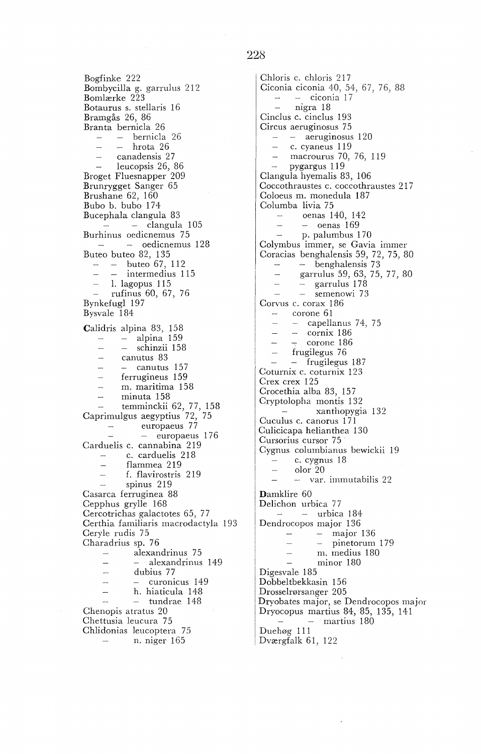Bogfinke 222 Bombycilla g. garrulus 212 Bomlærke 223 Botaurus s. stellaris 16 Bramgås 26, 86 Branta bernicla 26 bernicla 26 hrota 26  $\sim$ canadensis 27  $\sim$ leucopsis 26, 86 Broget Fluesnapper 209 Brunrygget Sanger 65 Brushane 62, 160 Bubo b. bubo 174 Bucephala clangula 83  $\frac{1}{x}$   $\frac{1}{x}$   $\frac{105}{x}$ Burhinus oedicnemus 75  $\sim$   $\sim$  oedicnemus 128 Buteo buteo 82, 135 buteo 67, 112 - - intermedius 115 1. lagopus 115 rufinus 60, 67, 76 Bynkefugl 197 Bysvale 184 Calidris alpina 83, 158 alpina 159  $\sim$ - schinzii 158  $\overline{a}$ canutus 83  $\frac{1}{2}$ - canutus 157  $\sim$ ferrugineus 159 m. maritima 158 minuta 158 temminckii 62, 77, 158 Caprimulgus aegyptius 72, 75 europaeus 77 - europaeus 176 Carduelis c. cannabina 219 c. carduelis 218 **Service** flammea 219  $\overline{\phantom{a}}$ f. flavirostris 219 spinus 219 Casarca ferruginea 88 Cepphus grylle 168 Cercotrichas galactotes 65, 77 Certhia familiaris macrodactyla 193 Ceryle rudis 75 Charadrius sp. 76 alexandrinus 75  $\overline{\phantom{0}}$ alexandrinus 149  $\overline{a}$ dubius 77  $\overline{\phantom{a}}$ - curonicus 149 h. hiaticula 148  $\overline{\phantom{0}}$ tundrae 148  $\overline{\phantom{a}}$ Chenopis atratus 20 Chettusia leucura 75 Chlidonias leucoptera 75. n. niger 165

Chloris c. chloris 217 Ciconia ciconia 40, 54, 67, 76, 88 - ciconia 17  $\mathcal{L}_{\text{max}}$ nigra 18 Cinclus c. cinclus 193 Circus aeruginosus 75 aeruginosus 120 c. cyaneus 119 macrourus 70, 76, 119 pygargus 119 Clangula hyemalis 83, 106 Coccothraustes c. coccothraustes 21 7 Coloeus m. monedula 187 Columba livia 75 oenas 140, 142 oenas 169  $\mathbb{R}^2$ p. palumbus 1 70 Colymbus immer, se Gavia immer Coracias benghalensis 59, 72, 75, 80 – benghalensis 73  $\Delta \Delta \phi$ garrulus 59, 63, 75, 77, 80  $\overline{\phantom{a}}$ - garrulus 178  $\overline{\phantom{a}}$  $\overline{\phantom{a}}$ semenowi 73 Corvus c. corax 186  $\overline{\phantom{m}}$ corone 61 - capellanus 74, 75  $\mathcal{L}$ cornix 186  $\overline{\phantom{a}}$ corone 186 frugilegus 76 - frugilegus 187 Coturnix c. coturnix 123 Crex crex 125 Crocethia alba 83, 157 Cryptolopha montis 132 xan thopygia 13 2 Cuculus c. canorus 1 71 Culicicapa helianthea 130 Cursorius cursor 75 Cygnus columbianus bewickii 19 c. cygnus 18  $\overline{\phantom{m}}$ olor 20 var. immutabilis 22 Damklire 60 Delichon urbica 77  $-$  urbica 184 Dendrocopos major 136 major 136  $\sim$  $-$  pinetorum 179  $\overline{\phantom{a}}$  $\overline{\phantom{a}}$ m. medius 180 minor 180 Digesvale 185 Dobbeltbekkasin 156 Drosselrørsanger 205 Dryobates major, se Dendrocopos major Dryocopus martius 84, 85, 135, 141 martius 180 Duehøg 111 Dværgfalk 61, 122

## 228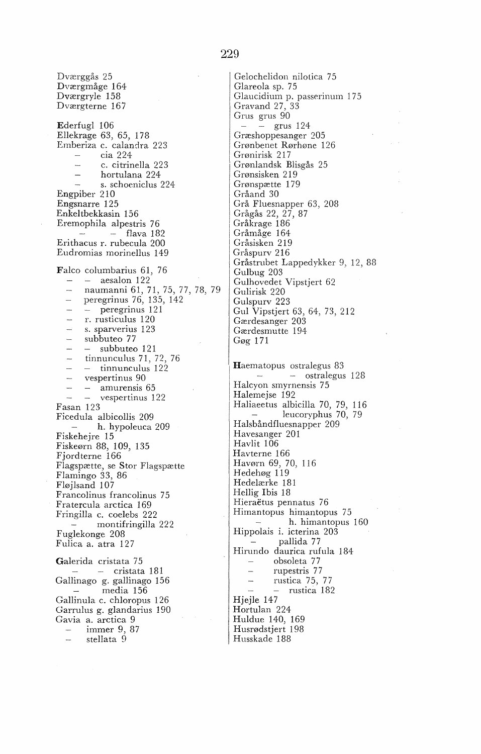Dværggås 25 Dværgmåge 164 Dværgryle 158 Dværgterne 167 Ederfugl 106 Ellekrage 63, 65, 178 Emberiza c. calandra 223 cia 224  $\sim$ c. citrinella 223  $\sim$ hortulana 224 s. schoeniclus 224 Engpiber 210 Engsnarre 125 Enkeltbekkasin 156 Eremophila alpestris 76  $-$  flava 182 Erithacus r. rubecula 200 Eudromias morinellus 149 Falco columbarius 61, 76 aesalon 122  $\sim$ naumanni 61, 71, 75, 77, 78, 79 peregrinus 76, 135, 142  $\overline{\phantom{a}}$ peregrinus 121 r. rusticulus 120 s. sparverius 123 subbuteo 77 subbuteo 121 tinnunculus 71, 72, 76  $\sim$  $-$  tinnunculus 122  $\sim$ vespertinus 90  $\sim$ amurensis 65  $\overline{a}$ vespertinus 122 Fasan 123 Ficedula albicollis 209 h. hypoleuca 209 Fiskehejre 15 Fiskeørn 88, 109, 135 Fjordterne 166 Flagspætte, se Stor Flagspætte Flamingo 33, 86 Fløjlsand 107 Francolinus francolinus 75 Fratercula arctica 169 Fringilla c. coelebs 222 montifringilla 222 Fuglekonge 208 Fulica a. atra 127 Galerida cristata 75  $-$  cristata 181 Gallinago g. gallinago 156 media 156 Gallinula c. chloropus 126

Garrulus g. glandarius 190 Gavia a. arctica 9

immer 9, 87 stellata 9

**229** 

Gelochelidon nilotica 75 Glareola sp. 75 Glaucidium p. passerinum 175 Gravand 27, 33 Grus grus 90  $-$  grus 124 Græshoppesanger 205 Grønbenet Rørhøne 126 Grønirisk 21 7 Grønlandsk Blisgås 25 Grønsisken 219 Grønspætte 179 Gråand 30 Grå Fluesnapper 63, 208 Grågås 22, 27, 87 Gråkrage 186 Gråmåge 164 Gråsisken 219 Gråspurv 216 Gråstrubet Lappedykker 9, 12, 88 Gulbug 203 Gulhovedet Vipstjert 62 Gulirisk 220 Gulspurv 223 Gul Vipstjert 63, 64, 73, 212 Gærdesanger 203 Gærdesmutte 194 Gøg 171

Haematopus ostralegus 83 ostralegus 128 Halcyon smyrnensis 75 Halemejse 192 Haliaeetus albicilla 70, 79, 116 leucoryphus 70, 79 Halsbåndfluesnapper 209 Havesanger 201 Havlit 106 Havterne 166 Havørn 69, 70, 116 Hedehøg 119 Hedelærke 181 Hellig Ibis 18 Hieraëtus pennatus 76 Himantopus himantopus 75 h. himantopus 160 Hippolais i. icterina 203 pallida 77 Hirundo daurica rufula 184 obsoleta 77  $\sim$ rupestris 77 rustica 75, 77  $\overline{\phantom{a}}$ rustica 182 Hjejle 147 Hortulan 224 Huldue 140, 169 Husrødstjert 198 Husskade 188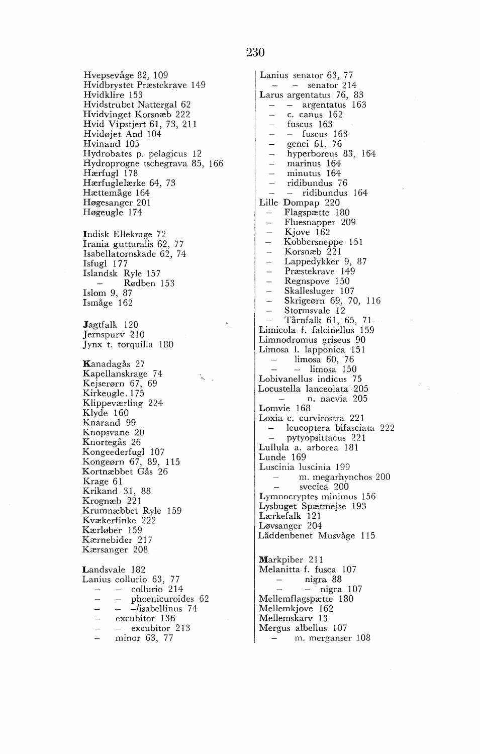Hvepsevåge 82, 109 Hvidbrystet Præstekrave 149 Hvidklire 153 Hvidstrubet Nattergal 62 Hvidvinget Korsnæb 222 Hvid Vipstjert 61, 73, 211 Hvidøjet And 104 Hvinand 105 Hydrobates p. pelagicus 12 Hydroprogne tschegrava 85, 166 Hærfugl 178 Hærfuglelærke 64, 73 Hættemåge 164 Høgesanger 201 Høgeugle 174 Indisk Ellekrage 72 Irania gutturalis 62, 77 Isabellatornskade 62, 74 Isfugl 177 Islandsk Ryle 157 Rødben 153  $\sim$ Islom 9, 87 Ismåge 162 Jagtfalk 120 Jernspurv 210 Jynx t. torquilla 180 Kanadagås 27 Kapellanskrage 74 Kejserørn 67, 69 Kirkeugle, 175 Klippeværling 224 Klyde 160 Knarand 99 Knopsvane 20

Knortegås 26 Kongeederfugl 107 Kongeørn 67, 89, 115 Kortnæbbet Gås 26 Krage 61 Krikand 31, 88 Krognæb 221 Krumnæbbet Ryle 159 Kvækerfinke 222 Kærløber 159 Kærnebider 217 Kærsanger 208

Landsvale 182 Lanius collurio 63, 77 collurio 214 phoenicuroides 62  $\overline{\phantom{a}}$  $-$ /isabellinus 74 excubitor 136  $\overline{\phantom{0}}$ - excubitor 213  $\overline{\phantom{0}}$ minor 63, 77

Lanius senator 63, 77  $-$  senator 214 Larus argentatus 76, 83 argentatus 163 c. canus 162 fuscus 163  $-$  fuscus 163  $\overline{a}$ genei 61, 76  $\overline{a}$ hyperboreus 83, 164  $\equiv$ marinus 164  $\equiv$ minutus 164  $\overline{a}$ ridibundus 76 - ridibundus 164  $\mathcal{L}$ Lille Dompap 220 Flagspætte 180  $\sim$ Fluesnapper 209  $\overline{a}$ Kjove 162  $\overline{a}$ Kobbersneppe 151 Korsnæb 221 Lappedykker 9, 87 Præstekrave 149 Regnspove 150 Skallesluger 107 Skrigeørn 69, 70, 116  $\overline{a}$ Stormsvale 12  $\overline{a}$ Tårnfalk 61, 65, 71 Limicola f. falcinellus 159 Limnodromus griseus 90 Limosa 1. lapponica 151 limosa 60, 76  $-$  limosa 150 Lobivanellus indicus 75 Locustella lanceolata· 205 n. naevia 205 Lomvie 168 Loxia c. curvirostra 221 leucoptera bifasciata 222 pytyopsittacus 221 Lullula a. arborea 181 Lunde 169 Luscinia luscinia 199 m. megarhynchos 200 svecica 200 Lymnocryptes minimus 156 Lysbuget Spætmejse 193 Lærkefalk 121 Løvsanger 204 Låddenbenet Musvåge 115 Markpiber 211 Melanitta f. fusca 107 nigra 88  $-$  nigra 107 Mellemflagspætte 180 Mellemkjove 162 Mellemskarv 13 Mergus albellus 107 m. merganser 108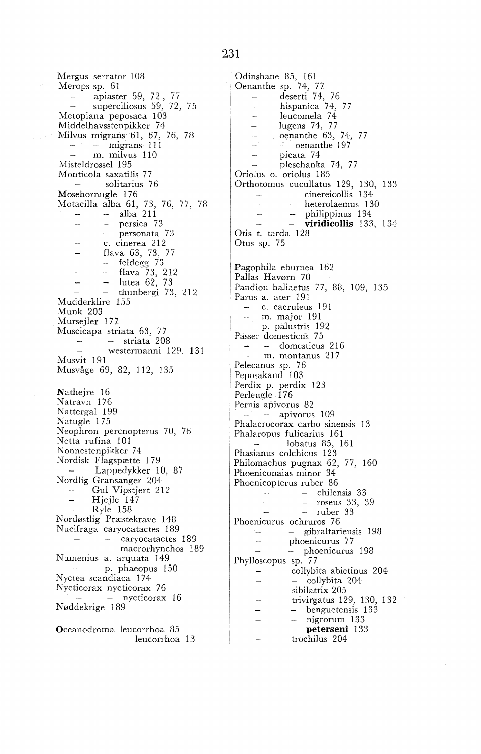apiaster 59, 72 , 77 superciliosus 59, 72, 75

Metopiana peposaca 103 Middelhavsstenpikker 74 Milvus migrans 61, 67, 76, 78 migrans 111 m. milvus 110 Misteldrossel 195 Monticola saxatilis 77 solitarius 76  $\sim$ Mosehornugle 176 Motacilla alba 61, 73, 76, 77, 78 alba 211 persica 73 personata 73  $\overline{a}$ c. cinerea 212 flava 63, 73, 77  $\overline{a}$  $\overline{a}$ - feldegg 73  $\sim$ flava 73, 212  $\overline{\phantom{a}}$ lutea 62, 73  $-$  thunbergi 73, 212 Mudderklire 155 Munk 203 Mursejler 177 Muscicapa striata 63, 77 striata 208  $\mathcal{L}$ westermanni 129, 131 Musvit 191 Musvåge 69, 82, 112, 135 Nathejre 16 Natravn 176 Nattergal 199 Natugle 175 Neophron percnopterus 70, 76 Netta rufina 101 Nonnestenpikker 74 Nordisk Flagspætte 179 Lappedykker 10, 87 Nordlig Gransanger 204 Gul Vipstjert 212 Hjejle 147 Ryle 158 Nordøstlig Præstekrave 148 Nucifraga caryocatactes 189 caryocatactes 189  $\overline{a}$ macrorhynchos 189 Numenius a. arquata 149  $\sim 10^{-11}$ p. phaeopus 150 Nyctea scandiaca 174 Nycticorax nycticorax 76 - nycticorax 16 Nøddekrige 189. Oceanodroma leucorrhoa 85

leucorrhoa 13

Mergus serrator 108 Merops sp. 61

Odinshane 85, 161 Oenanthe sp. 74, 77 deserti 74, 76 hispanica 74, 77 leucomela 74  $\frac{1}{2}$ lugens 74, 77 oenanthe 63, 74, 77  $\overline{a}$  $-$  oenanthe 197 picata 74  $\sim$ pleschanka 74, 77 Oriolus o. oriolus 185 Orthotornus cucullatus 129, 130, 133 - cinereicollis 134 - heterolaemus 130 philippinus 134 - **viridicollis** 133, 134 Otis t. tarda 128 Otus sp. 75 Pagophila eburnea 162 Pallas Havørn 70 Pandion haliaetus 77, 88, 109, 135 Pams a. ater 191 c. caeruleus 191 m. major 191 p. pa1ustris 192 Passer domesticus 75 domesticus 216 m. montanus 217 Pelecanus sp. 76 Peposakand<sup>103</sup> Perdix p. perdix 123 Perleugle 176 Pernis apivorus 82  $\frac{1}{2}$  - apivorus 109 Phalacrocorax carbo sinensis 13 Phalaropus fulicarius 161 lobatus 85, 161 Phasianus colchicus 123 Philornachus pugnax 62, 77, 160 Phoeniconaias minor 34 Phoenicopterus ruber 86  $\overline{\phantom{m}}$ chilensis 33  $\overline{\phantom{a}}$ roseus 33, 39  $\sim$ ruber 33 Phoenicurus ochruros 76  $\sim$ gibraltariensis 198  $\overline{\phantom{a}}$ phoenicurus 77  $\equiv$ phoenicurus 198 Phylloscopus sp. 77 collybita abietinus 204  $\overline{\phantom{a}}$ - collybita 204 sibilatrix 205 trivirgatus 129, 130, 132 - benguetensis 133  $\overline{\phantom{0}}$  $\frac{1}{2}$ nigrorum 133 **- peterseni** 133 trochilus 204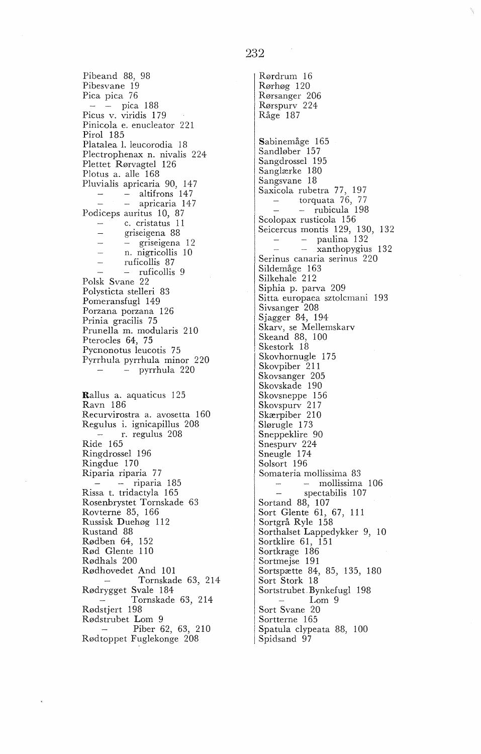Pibeand 88, 98 Pibesvane 19 Pica pica 76 pica 188 Picus v. viridis 1 7 9 Pinicola e. enucleator 221 Pirol 185 Platalea 1. leucorodia 18 Plectrophenax n. nivalis 224 Plettet Rørvagtel 126 Plotus a. alle 168 Pluvialis apricaria 90, 147  $-$  altifrons 147  $\equiv$ - apricaria 147 Podiceps auritus 10, 87 c. cristatus 11  $\overline{\phantom{m}}$ griseigena 88 - griseigena 12 n. nigricollis 10  $\overline{a}$ ruficollis 87  $\sim$ - ruficollis 9 Polsk Svane 22 Polysticta stelleri 83 Pomeransfugl 149 Porzana porzana 126 Prinia gracilis 75 Prunella m. modularis 210 Pterocles 64, 75 Pycnonotus leucotis 75 Pyrrhula pyrrhula minor 220 pyrrhula 220 Rallus a. aquaticus 125 Ravn 186 Recurvirostra a. avosetta 160 Regulus i. ignicapillus 208 r. regulus 208 Ride 165 Ringdrossel 196 Ringdue 170 Ri paria riparia 7 *7*   $-$  riparia 185 Rissa t. tridactyla 165 Rosenbrystet Tornskade 63 Rovterne 85, 166 Russisk Duehøg 112 Rustand 88

Rødben 64, 152 Rød Glente 110 Rødhals 200 Rødhovedet And 101 Tornskade 63, 214 Rødrygget Svale 184 Tornskade 63, 214 Rødstjert 198 Rødstrubet Lom 9 Piber 62, 63, 210 Rødtoppet Fuglekonge 208

Rørdrum 16 Rørhøg 120 Rørsanger 206 Rørspurv 224 Råge 187 Sabinemåge 165 Sandløber 157 Sangdrossel 195 Sanglærke 180 Sangsvane 18 Saxicola rubetra 77, 197 torquata 76, 77 rubicula 198 Scolopax rusticola 156 Seicercus montis 129, 130, 132 paulina 132 xanthopygius 132 Serinus canaria serinus 220 Sildemåge 163 Silkehale 212 Siphia p. parva 209 Sitta europaea sztolcmani 193 Sivsanger 208 Sjagger 84, 194 Skarv, se Mellemskarv Skeand 88, 100 Skestork 18 Skovhornugle 175 Skovpiber 211 Skovsanger 205 Skovskade 190 Skovsneppe 156 Skovspurv 21 7 Skærpiber 210 Slørugle 173 Sneppeklire 90 Snespurv 224 Sneugle 174 Solsort 196 Somateria mollissima 83 mollissima 106 spectabilis 107  $\sim$ Sortand 88, 107 Sort Glente 61, 67, 111 Sortgrå Ryle 158 Sorthalset Lappedykker 9, 10 Sortklire 61, 151 Sortkrage 186 Sortmejse 191 Sortspætte 84, 85, 135, 180 Sort Stork 18 Sortstrubet.Bynkefugl 198 Lom 9 Sort Svane 20 Sortterne 165 Spatula clypeata 88, 100 Spidsand 97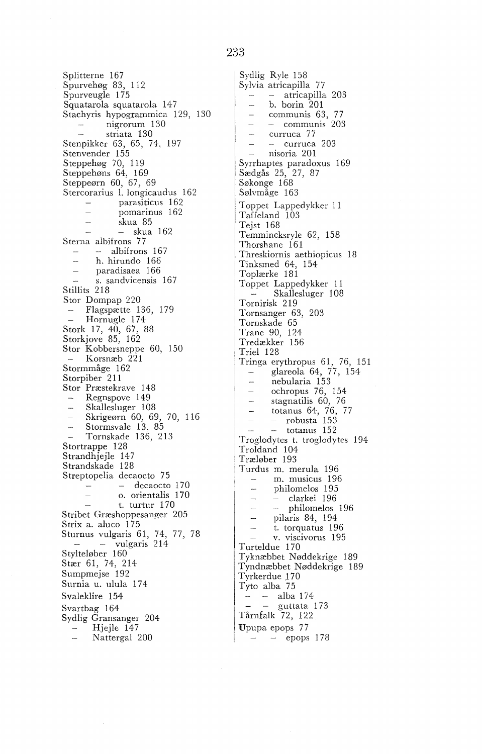Splitterne 167 Spurvehøg 83, 112 Spurveugle 175 Squatarola squatarola 147 Stachyris hypogrammica 129, 130 nigrorum 130  $\sim$ striata 130 Stenpikker 63, 65, 74, 197 Stenvender 155 Steppehøg 70, 119 Steppehøns 64, 169 Steppeørn 60, 67, 69 Stercorarius I. longicaudus 162 parasiticus 162  $\sim$  $\frac{1}{2}$ pomarinus 162  $\overline{a}$ skua 85  $-$  skua 162  $\sim$ Sterna albifrons 77  $-$  albifrons 167 h. hirundo 166 paradisaea 166 s. sandvicensis 167 Stillits 218 Stor Dompap 220 Flagspætte 136, 179 Hornugle 174 Stork 17, 40, 67, 88 Storkjove 85, 162 Stor Kobbersneppe 60, 150 Korsnæb<sub>221</sub> Stormmåge 162 Storpiber<sup>211</sup> Stor Præstekrave 148 Regnspove 149 Skallesluger 108 Skrigeørn 60, 69, 70, 116

L.

Stormsvale 13, 85 Tornskade 136, 213 Stortrappe 128 Strandhjejle 147 Strandskade 128 Streptopelia decaocto 75  $-$  decaocto 170 o. orientalis 170 t. turtur 170 Stribet Græshoppesanger 205 Strix a. aluco 175 Sturnus vulgaris 61, 74, 77, 78<br>-- vulgaris 214 Stylteløber 160 Stær 61, 74, 214 Sumpmejse 192 Surnia u. ulula 174 Svaleklire 154 Svartbag 164 Sydlig Gransanger 204 Hjejle 147

Nattergal 200

Sydlig Ryle 158 Sylvia atricapilla 77 - atricapilla 203 b. borin 201  $\overline{a}$  $\frac{1}{2}$ communis 63, 77 L. - communis 203  $\overline{a}$ curruca 77  $\overline{a}$  $-$  curruca 203 nisoria 201  $\overline{a}$ Syrrhaptes paradoxus 169 Sædgås 25, 27, 87 Søkonge 168 Sølvmåge 163 Toppet Lappedykker 11 Taffeland 103 Tejst 168 Temmincksryle 62, 158 Thorshane 161 Threskiornis aethiopicus 18 Tinksmed 64, 154 Toplærke 181 Toppet Lappedykker 11 Skallesluger 108 Tornirisk 219 Tornsanger 63, 203 Tornskade 65 Trane 90, 124 Tredækker 156 Triel 128 Tringa erythropus 61, 76, 151 glareola 64, 77, 154 nebularia 153 i. ochropus 76, 154  $\overline{a}$ stagnatilis 60, 76  $\overline{a}$ totanus 64, 76, 77  $\sim$  $-$  robusta  $153$  $\overline{\phantom{a}}$  $-$  totanus 152 Troglodytes t. troglodytes 194 Troldand 104 Træløber 193 Turdus m. merula 196 m. musicus 196 philomelos 195  $\sim$ - clarkei 196  $\overline{\phantom{a}}$ - philomelos 196  $\equiv$ pilaris 84, 194  $\overline{a}$ t. torquatus 196 v. viscivorus 195 Turteldue 170 Tyknæbbet Nøddekrige 189<br>Tyndnæbbet Nøddekrige 189 Tyrkerdue 170 Tyto alba 75  $- -$ alba 174  $-$  - guttata 173 Tårnfalk 72, 122 Upupa epops 77

 $-$  epops 178

## 233